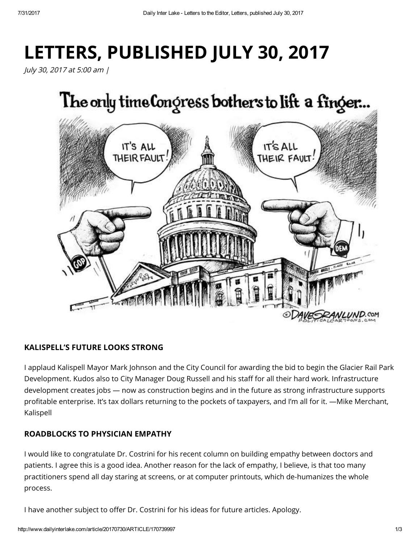# LETTERS, PUBLISHED JULY 30, 2017

July 30, 2017 at 5:00 am |



# KALISPELL'S FUTURE LOOKS STRONG

I applaud Kalispell Mayor Mark Johnson and the City Council for awarding the bid to begin the Glacier Rail Park Development. Kudos also to City Manager Doug Russell and his staff for all their hard work. Infrastructure development creates jobs — now as construction begins and in the future as strong infrastructure supports profitable enterprise. It's tax dollars returning to the pockets of taxpayers, and I'm all for it. —Mike Merchant, Kalispell

# ROADBLOCKS TO PHYSICIAN EMPATHY

I would like to congratulate Dr. Costrini for his recent column on building empathy between doctors and patients. I agree this is a good idea. Another reason for the lack of empathy, I believe, is that too many practitioners spend all day staring at screens, or at computer printouts, which de-humanizes the whole process.

I have another subject to offer Dr. Costrini for his ideas for future articles. Apology.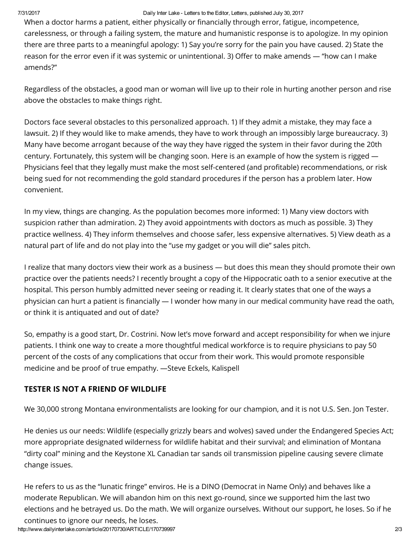#### 7/31/2017 Daily Inter Lake Letters to the Editor, Letters, published July 30, 2017

When a doctor harms a patient, either physically or financially through error, fatigue, incompetence, carelessness, or through a failing system, the mature and humanistic response is to apologize. In my opinion there are three parts to a meaningful apology: 1) Say you're sorry for the pain you have caused. 2) State the reason for the error even if it was systemic or unintentional. 3) Offer to make amends — "how can I make amends?"

Regardless of the obstacles, a good man or woman will live up to their role in hurting another person and rise above the obstacles to make things right.

Doctors face several obstacles to this personalized approach. 1) If they admit a mistake, they may face a lawsuit. 2) If they would like to make amends, they have to work through an impossibly large bureaucracy. 3) Many have become arrogant because of the way they have rigged the system in their favor during the 20th century. Fortunately, this system will be changing soon. Here is an example of how the system is rigged — Physicians feel that they legally must make the most self-centered (and profitable) recommendations, or risk being sued for not recommending the gold standard procedures if the person has a problem later. How convenient.

In my view, things are changing. As the population becomes more informed: 1) Many view doctors with suspicion rather than admiration. 2) They avoid appointments with doctors as much as possible. 3) They practice wellness. 4) They inform themselves and choose safer, less expensive alternatives. 5) View death as a natural part of life and do not play into the "use my gadget or you will die" sales pitch.

I realize that many doctors view their work as a business — but does this mean they should promote their own practice over the patients needs? I recently brought a copy of the Hippocratic oath to a senior executive at the hospital. This person humbly admitted never seeing or reading it. It clearly states that one of the ways a physician can hurt a patient is financially — I wonder how many in our medical community have read the oath, or think it is antiquated and out of date?

So, empathy is a good start, Dr. Costrini. Now let's move forward and accept responsibility for when we injure patients. I think one way to create a more thoughtful medical workforce is to require physicians to pay 50 percent of the costs of any complications that occur from their work. This would promote responsible medicine and be proof of true empathy. —Steve Eckels, Kalispell

# TESTER IS NOT A FRIEND OF WILDLIFE

We 30,000 strong Montana environmentalists are looking for our champion, and it is not U.S. Sen. Jon Tester.

He denies us our needs: Wildlife (especially grizzly bears and wolves) saved under the Endangered Species Act; more appropriate designated wilderness for wildlife habitat and their survival; and elimination of Montana "dirty coal" mining and the Keystone XL Canadian tar sands oil transmission pipeline causing severe climate change issues.

He refers to us as the "lunatic fringe" enviros. He is a DINO (Democrat in Name Only) and behaves like a moderate Republican. We will abandon him on this next go-round, since we supported him the last two elections and he betrayed us. Do the math. We will organize ourselves. Without our support, he loses. So if he continues to ignore our needs, he loses.

http://www.dailyinterlake.com/article/20170730/ARTICLE/170739997 2/3